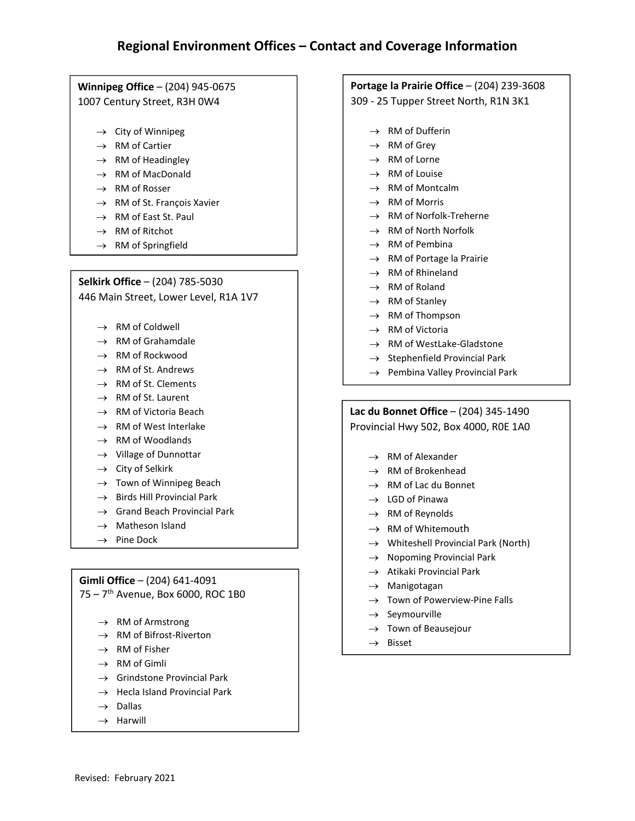#### $\overline{\phantom{a}}$ Regional Environment<br>Pape Office – (204) 945-06<br>Intury Street, R3H 0W4<br>City of Winnipeg e**g Office –** (204) 9<br>ntury Street, R3H<br>City of Winnipeg<br>RM of Cartier e**g Office –** (204) 945-06<br>ntury Street, R3H 0W4<br>City of Winnipeg<br>RM of Cartier<br>RM of Headinglev Some (2017 213 307)<br>
Intury Street, R3H 0W4<br>
City of Winnipeg<br>
RM of Cartier<br>
RM of Headingley<br>
RM of MacDonald

- $\rightarrow$  City of Winnipeg
- $\rightarrow$  RM of Cartier
- $\rightarrow$ They Street, NST<br>City of Winnipeg<br>RM of Cartier<br>RM of Headingley<br>RM of MacDonald<br>RM of Rosser
- $\rightarrow$  RM of MacDonald
- $\rightarrow$  RM of
- City of Winnipeg<br>RM of Cartier<br>RM of Headingley<br>RM of MacDonald<br>RM of Rosser<br>RM of St. Francois Xavier City of Winnipeg<br>RM of Gartier<br>RM of Headingley<br>RM of Rosser<br>RM of St. François Xavi<br>RM of St. François Xavi  $\rightarrow$ RM of Headingley<br>RM of MacDonald<br>RM of Rosser<br>RM of St. François X<br>RM of East St. Paul<br>RM of Ritchot RM of MacDonak<br>RM of Rosser<br>RM of St. Françoi:<br>RM of East St. Pa<br>RM of Ritchot<br>RM of Springfield <sup>ñ</sup> (204) 785-5030  $\rightarrow$  KIVI OF St. François Advier
	- $\rightarrow$  RM of East St. Paul
	-
	-

### $\rightarrow$  RM of Springfield<br>Selkirk Office – (204) 785-5030 **Office – (204) 785-5030**<br>n Street, Lower Level, R1,<br>RM of Coldwell<br>RM of Grahamdale **Office – (204) 785-5030**<br>n Street, Lower Level, R:<br>RM of Coldwell<br>RM of Grahamdale<br>RM of Rockwood

**IVI** Finder (1207, 788 8888)<br>In Street, Lower Level, R<br>RM of Grahamdale<br>RM of Rockwood<br>RM of St. Andrews

- $\rightarrow$  RM of Coldwell
- $\rightarrow$  RM of Grahamdale
- $\rightarrow$  RM of Rockwood
- Mostect, Lower Lever, N<br>RM of Coldwell<br>RM of Grahamdale<br>RM of St. Andrews<br>RM of St. Clements  $\rightarrow$  RM of St. Andrews
- RM of Coldwell<br>RM of Grahamdale<br>RM of St. Andrews<br>RM of St. Clements<br>RM of St. Clements  $\rightarrow$  RM of St. Clements RM of Grahamdale<br>RM of Rockwood<br>RM of St. Andrews<br>RM of St. Clements<br>RM of St. Laurent<br>RM of Victoria Beach
- $\rightarrow$  RM of St. Laurent
- RM of Rockwood<br>RM of St. Andrews<br>RM of St. Clements<br>RM of St. Laurent<br>RM of Victoria Beach<br>RM of West Interlake  $\rightarrow$ RM of St. Clements<br>RM of St. Laurent<br>RM of Victoria Beach<br>RM of West Interlake<br>RM of Woodlands<br>Village of Dunnottar<br>City of Selkirk
- RM of St. Andrews<br>RM of St. Clements<br>RM of St. Clements<br>RM of Victoria Beach<br>RM of West Interlake<br>RM of Woodlands  $\rightarrow$  RM of West Interlake RM of St. Andrews<br>RM of St. Clements<br>RM of St. Laurent<br>RM of West Interlake<br>RM of Woodlands<br>Village of Dunnottar RM of Victoria Beach<br>RM of West Interlake<br>RM of Woodlands<br>Village of Dunnottar<br>City of Selkirk<br>Town of Winnipeg Beach
- $\rightarrow$  RM of Woodlands
- $\rightarrow$  Village of Dunnottar
- $\rightarrow$  City of Selkirk
- RM of West Interlake<br>RM of Woodlands<br>Village of Dunnottar<br>City of Selkirk<br>Town of Winnipeg Beach<br>Birds Hill Provincial Park  $\rightarrow$ RM of Woodlands<br>FM of Woodlands<br>Village of Dunnottar<br>City of Selkirk<br>Town of Winnipeg Beach<br>Birds Hill Provincial Park<br>Grand Beach Provincial Park Finage of Dumfott<br>City of Selkirk<br>Town of Winnipeg<br>Birds Hill Provincia<br>Grand Beach Prov<br>Matheson Island<br>Pine Dock
- $\rightarrow$  Birds
- NNI OF WOOdlands<br>Village of Dunnottar<br>City of Selkirk<br>Town of Winnipeg Beach<br>Birds Hill Provincial Park<br>Grand Beach Provincial Pa<br>Matheson Island  $\rightarrow$  Grand Beach Provincial Park<br> $\rightarrow$  Matheson Island <sup>ñ</sup> (204) 641-4091
	-
	-

#### Gimli Office  $- (204) 641 - 4091$

 $\cdot$  / Pine Dock<br>**ffice –** (204) 641-4091<br>Avenue, Box 6000, ROC<br>RM of Armstrong Frice – (204) 641-4091<br>Avenue, Box 6000, ROC 1B0<br>RM of Armstrong<br>RM of Bifrost-Riverton rrice – (204) 64<br>Avenue, Box 6<br>RM of Armstron<br>RM of Bifrost-Ri<br>RM of Fisher<br>RM of Gimli

- $\rightarrow$  RM of Armstrong
- $\rightarrow$  RM of Bifrost-Riverton RM of Armstron<br>RM of Bifrost-Ri<br>RM of Fisher<br>RM of Gimli<br>Grindstone Prov<br>Hecla Island Pro<br>Dallas
- $\rightarrow$  RM of Fisher
- $\rightarrow$  RM of Gimli
- Avenue, Box 6000, ROC 1B0<br>RM of Armstrong<br>RM of Bifrost-Riverton<br>RM of Fisher<br>RM of Gimli<br>Grindstone Provincial Park RM of Armstrong<br>RM of Bifrost-Riverton<br>RM of Gimli<br>Grindstone Provincial Park<br>Hecla Island Provincial Park  $\rightarrow$ RM of Fisher<br>RM of Gimli<br>RM of Gimli<br>Grindstone Prov<br>Hecla Island Pro<br>Dallas<br>Harwill
- $\rightarrow$  Hecla Island Provincial Park
- $\rightarrow$  Dallas
- 

## <sup>ñ</sup> (204) 239-3608 Loverage Imornia<br>
la Prairie Office – (20<br>
Tupper Street North,<br>
RM of Dufferin **la Prairie Office**<br>Tupper Street No<br>RM of Dufferin<br>RM of Grev **la Prairie Office – (**<br>Tupper Street Nort<br>RM of Dufferin<br>RM of Grey<br>RM of Lorne

 $\overline{\phantom{a}}$ Tupper Street Nortl<br>RM of Dufferin<br>RM of Grey<br>RM of Lorne<br>RM of Louise

- $\rightarrow$  RM of Dufferin Tupper Street North, NEW 31<br>RM of Dufferin<br>RM of Grey<br>RM of Louise<br>RM of Montcalm
- $\rightarrow$  RM of Grev
- $\rightarrow$  RM of Lorne
- $\rightarrow$  RM of Louise
- RM of Dufferin<br>RM of Grey<br>RM of Lorne<br>RM of Montcalm<br>RM of Montcalm  $\rightarrow$  RM of Montcalm
- $\rightarrow$  RM of Morris
- RM of Grey<br>RM of Lorne<br>RM of Louise<br>RM of Montcalm<br>RM of Morris<br>RM of Norfolk-Treherne RM of Lorne<br>RM of Louise<br>RM of Montcalm<br>RM of Morris<br>RM of Norfolk-Treherne<br>RM of Norfolk Norfolk  $\rightarrow$ RM of Lome<br>RM of Louise<br>RM of Montcalm<br>RM of Norfolk-Treherne<br>RM of North Norfolk<br>RM of Pembina RM of Montcalm<br>RM of Morris<br>RM of Norfolk-Treherne<br>RM of North Norfolk<br>RM of Pembina<br>RM of Portage la Prairie
- $\rightarrow$  RM of North Norfolk
- $\rightarrow$  RM of Pembina
- RM of Morris<br>RM of Norfolk-Treherne<br>RM of Norfolk-Treherne<br>RM of Pembina<br>RM of Portage la Prairie<br>RM of Rhineland  $\rightarrow$ RM of Norfolk-Trehern<br>RM of North Norfolk<br>RM of Pembina<br>RM of Portage la Prairie<br>RM of Rhineland<br>RM of Roland RM of North Norfolk<br>RM of Pembina<br>RM of Pembina<br>RM of Rhineland<br>RM of Roland<br>RM of Stanley RM of Pembina<br>RM of Pembina<br>RM of Portage la Prairie<br>RM of Roland<br>RM of Stanley<br>RM of Thompson RM of Perinana<br>RM of Portage la Prairie<br>RM of Rhineland<br>RM of Stanley<br>RM of Thompson<br>RM of Victoria
- $\rightarrow$  RM of Rhineland
- $\rightarrow$  RM of Roland
- $\rightarrow$  RM of Stanley
- $\rightarrow$  RM of Thompson
- $\rightarrow$ *Lace Dia de Liberie*
- RM of Rhineland<br>RM of Roland<br>RM of Roland<br>RM of Thompson<br>RM of Victoria<br>RM of WestLake-Gladstone RM of Roland<br>RM of Stanley<br>RM of Thompson<br>RM of Victoria<br>RM of WestLake-Gladstone<br>Stephenfield Provincial Park  $\rightarrow$  RM of WestLake-Gladstone
	- RM of Stanley<br>RM of Thompson<br>RM of Victoria<br>RM of WestLake-Gladstone<br>Stephenfield Provincial Park<br>Pembina Vallev Provincial Park
	-

## <sup>ñ</sup> (204) 345-1490 Pembina Valley Province<br> **Sonnet Office** – (204)<br>
al Hwy 502, Box 4000<br>
RM of Alexander **Sonnet Office – (204) 345-**<br>al Hwy 502, Box 4000, R0I<br>RM of Alexander<br>RM of Brokenhead **Sonnet Office – (204) 345**<br>al Hwy 502, Box 4000, RON<br>RM of Alexander<br>RM of Brokenhead<br>RM of Lac du Bonnet

 $^{\prime\prime\prime}$ al Hwy 502, Box 4000<br>RM of Alexander<br>RM of Brokenhead<br>RM of Lac du Bonnet<br>LGD of Pinawa

- $\rightarrow$  RM of Alexander
- $\rightarrow$  RM of Brokenhead
- $\rightarrow$  RM of Lac du Bonnet ar riwy 502, Box 4000<br>RM of Alexander<br>RM of Brokenhead<br>RM of Lac du Bonnet<br>LGD of Pinawa<br>RM of Revnolds RM of Alexander<br>RM of Brokenhead<br>RM of Lac du Bonnet<br>LGD of Pinawa<br>RM of Reynolds<br>RM of Whitemouth
- $\rightarrow$  LGD of Pinawa
- $\rightarrow$  RM of Reynolds
- $\rightarrow$  RM of Whitemouth
- RM of Brokenhead<br>RM of Lac du Bonnet<br>LGD of Pinawa<br>RM of Reynolds<br>RM of Whitemouth<br>Whiteshell Provincial Park (North) NM of Lac du Bonnet<br>
LGD of Pinawa<br>
RM of Reynolds<br>
RM of Whitemouth<br>
Whiteshell Provincial Park (North)<br>
Nopoming Provincial Park  $\rightarrow$ NM of Eac ad Bolinet<br>LGD of Pinawa<br>RM of Reynolds<br>RM of Whitemouth<br>Whiteshell Provincial Park (No<br>Nopoming Provincial Park<br>Atikaki Provincial Park RM of Reynolds<br>RM of Whitemouth<br>Whiteshell Provincial P<br>Nopoming Provincial P<br>Atikaki Provincial Park<br>Manigotagan RM of Whitemouth<br>RM of Whitemouth<br>Whiteshell Provincial Park (North)<br>Nopoming Provincial Park<br>Atikaki Provincial Park<br>Manigotagan<br>Town of Powerview-Pine Falls NW or Willemouth<br>Whiteshell Provincial I<br>Nopoming Provincial I<br>Atikaki Provincial Park<br>Manigotagan<br>Town of Powerview-P<br>Sevmourville
- $\rightarrow$  Nopoming Provincial Park
- $\rightarrow$  Atikaki Provincial Park Nopoming Prov<br>Atikaki Provincia<br>Manigotagan<br>Town of Powerv<br>Seymourville<br>Town of Beause<br>Bisset
- $\rightarrow$  Manigotagan
- $\rightarrow$ Willeshen Provincial Park<br>Nopoming Provincial Park<br>Atikaki Provincial Park<br>Manigotagan<br>Town of Powerview-Pine F<br>Seymourville<br>Town of Beauseiour
- $\rightarrow$  Seymourville
- 
-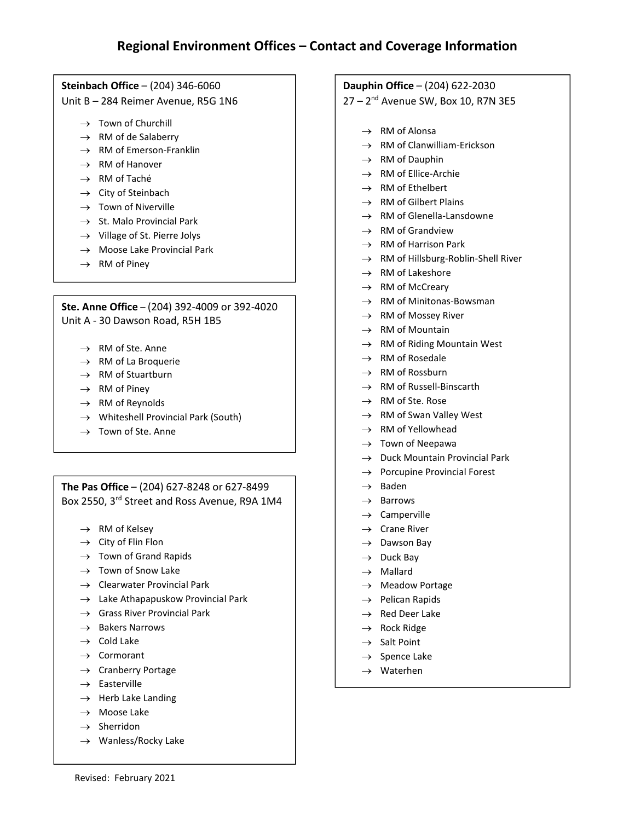## ach Office  $-$  (204)  $\approx$  - 284 Reimer Aven<br>Town of Churchill<br>RM of de Salaberry ach Office –  $(204)$  346-6<br>-284 Reimer Avenue, F<br>Town of Churchill<br>RM of de Salaberry<br>RM of Emerson-Franklin

 $B - 284$  Reimen<br>  $\rightarrow$  Town of Chu<br>  $\rightarrow$  RM of de Sal<br>  $\rightarrow$  RM of Emers<br>  $\rightarrow$  RM of Hanov **ach Office**  $-$  (20<br> $-$  284 Reimer A<br>Town of Church<br>RM of de Salab<br>RM of Emerson<br>RM of Hanover

- $\rightarrow$  Town of Churchill Town of Churchil<br>RM of de Salaber<br>RM of Emerson-F<br>RM of Hanover<br>RM of Taché<br>City of Steinbach
- $\rightarrow$ Fown of Churchill<br>FRM of de Salaberr<br>FRM of Emerson-Fr<br>FRM of Hanover<br>FRM of Taché<br>City of Steinbach<br>Town of Niverville
- $\rightarrow$  RM of Emerson-Franklin RM of Emerson-Franklir<br>RM of Hanover<br>RM of Taché<br>City of Steinbach<br>Town of Niverville<br>St. Malo Provincial Park
- $\rightarrow$  RM of Hanover
- $\rightarrow$  RM of Taché
- $\rightarrow$  City of Steinbach
- $\rightarrow$  Town of Niverville
- RM of Hanover<br>
RM of Hanover<br>
RM of Taché<br>
City of Steinbach<br>
Town of Niverville<br>
St. Malo Provincial Park<br>
Village of St. Pierre Jolys  $\rightarrow$ RM of Taché<br>City of Steinbach<br>Town of Niverville<br>St. Malo Provincial Park<br>Village of St. Pierre Jolys<br>Moose Lake Provincial Park  $\rightarrow$  St. Malo Provincial Park
- $\rightarrow$  Village of St. Pierre Jolys
	-
	- $\rightarrow$  RM of Piney

#### $\mathsf{A}$ RM of Pilley<br>**Re Office – (2**04) 392-40<br>30 Dawson Road, R5H<br>RM of Ste. Anne **Read Office - (204) 392-4009<br>10 Dawson Road, R5H 1B<br>RM of Ste. Anne<br>RM of La Broquerie ne Office – (204) 392-400<br>30 Dawson Road, R5H 11<br>RM of Ste. Anne<br>RM of La Broquerie<br>RM of Stuartburn ne Office –** (204) 39<br>30 Dawson Road, l<br>RM of Ste. Anne<br>RM of La Broquerie<br>RM of Stuartburn<br>RM of Pinev

- $\rightarrow$  RM of Ste. Anne
- $\rightarrow$  RM of La Broquerie 30 Dawson Road, R5<br>RM of Ste. Anne<br>RM of La Broquerie<br>RM of Stuartburn<br>RM of Piney<br>RM of Revnolds
- $\rightarrow$  RM of Stuartburn
- $\rightarrow$  RM of Piney
- → RM of **F**
- RM of Ste. Anne<br>RM of La Broquerie<br>RM of Stuartburn<br>RM of Piney<br>RM of Reynolds<br>Whiteshell Provincial Park (South) RM of Ste. Anne<br>RM of La Broquerie<br>RM of Stuartburn<br>RM of Reynolds<br>Whiteshell Provincial Park (<br>Town of Ste. Anne  $\rightarrow$  Whiteshell Provincial Park (South)<br>  $\rightarrow$  Town of Ste. Anne
	-

#### ieynolds<br>nell Provincial Park (South)<br>f Ste. Anne<br>— (204) 627-8248 or 627-8499 25 **Office –**  $(204)$  **627-11.**<br>O, 3<sup>rd</sup> Street and Ro<br>RM of Kelsev **Office** – (204) 627-824<br>
0, 3<sup>rd</sup> Street and Ross A<br>
RM of Kelsey<br>
City of Flin Flon **Office** –  $(204)$  627-8248 or<br>0, 3<sup>rd</sup> Street and Ross Aven<br>RM of Kelsey<br>City of Flin Flon<br>Town of Grand Rapids **OTTICE** – (204) 627-8248 0<br>
0, 3<sup>rd</sup> Street and Ross Ave<br>
RM of Kelsey<br>
City of Flin Flon<br>
Town of Grand Rapids<br>
Town of Snow Lake

- $\rightarrow$  RM of Kelsey
- $\rightarrow$  City of Flin Flon
- $\rightarrow$  Town of Grand Rapids U, 3<sup>16</sup> Street and Ross Avenue, F<br>RM of Kelsey<br>City of Flin Flon<br>Town of Grand Rapids<br>Town of Snow Lake<br>Clearwater Provincial Park
- $\rightarrow$
- $\rightarrow$
- RM of Kelsey<br>City of Flin Flon<br>Town of Grand Rapids<br>Town of Snow Lake<br>Clearwater Provincial Park<br>Lake Athapapuskow Provincial Park Rivi or Keisey<br>City of Flin Flon<br>Town of Grand Rapids<br>Town of Snow Lake<br>Clearwater Provincial Park<br>Lake Athapapuskow Provincial Parl<br>Grass River Provincial Park  $\rightarrow$
- City of Filli Fiori<br>Town of Grand Rapids<br>Town of Snow Lake<br>Clearwater Provincial F<br>Lake Athapapuskow Pr<br>Grass River Provincial F<br>Bakers Narrows  $\rightarrow$  Grass River Provincial Park Town of Grand Kap<br>Town of Snow Lake<br>Clearwater Provind<br>Lake Athapapusko<br>Grass River Provind<br>Bakers Narrows<br>Cold Lake Town of show La<br>Clearwater Provi<br>Lake Athapapusk<br>Grass River Provi<br>Bakers Narrows<br>Cold Lake<br>Cormorant Creat water Provincial Park<br>Lake Athapapuskow Provincial<br>Grass River Provincial Park<br>Bakers Narrows<br>Cold Lake<br>Cormorant<br>Cranberry Portage Lake Athapapuskov<br>Grass River Provinc<br>Bakers Narrows<br>Cold Lake<br>Cormorant<br>Cranberry Portage<br>Easterville
- $\rightarrow$  Bakers Narrows
- $\rightarrow$  Cold Lake
- $\rightarrow$  Cormorant
- $\rightarrow$ Bakers Narrows<br>Bakers Narrows<br>Cold Lake<br>Cormorant<br>Cranberry Portage<br>Easterville<br>Herb Lake Landing Bakers Narrows<br>Cold Lake<br>Cormorant<br>Cranberry Portage<br>Easterville<br>Herb Lake Landing<br>Moose Lake Colu Lake<br>Cormorant<br>Cranberry Portage<br>Easterville<br>Herb Lake Landing<br>Moose Lake<br>Sherridon
- $\rightarrow$  Easterville
- $\rightarrow$  Her
- $\rightarrow$  Moose Lake<br>  $\rightarrow$  Sherridon
- 
- $\rightarrow$  Wanless/Rocky Lake

# **COVETAGE THIOT<br>
1 Office – (204) 622-<br>
Avenue SW, Box 10,<br>
RM of Alonsa Office - (204) 622-20**<br>Avenue SW, Box 10, R<br>RM of Alonsa<br>RM of Clanwilliam-Ericks<br>RM of Dauphin

- $\cdot$   $\epsilon$ **Office - (204) 622-2030<br>Avenue SW, Box 10, R7N 3E5<br>RM of Alonsa<br>RM of Clanwilliam-Erickson** Avenue SW, Box 10, R7N<br>
RM of Alonsa<br>
RM of Clanwilliam-Erickson<br>
RM of Clanwilliam-Erickson<br>
RM of Dauphin<br>
RM of Ellice-Archie
	- $\rightarrow$  RM of Alonsa
	- $\rightarrow$  RM of Clanwilliam-Erickson Mende SW, BBX 10,<br>RM of Alonsa<br>RM of Clanwilliam-Eric<br>RM of Dauphin<br>RM of Ellice-Archie<br>RM of Ethelbert RM of Alonsa<br>RM of Clanwilliam-Erickson<br>RM of Dauphin<br>RM of Ellice-Archie<br>RM of Ethelbert<br>RM of Gilbert Plains RM of Clanwilliam-Erickson<br>RM of Dauphin<br>RM of Ellice-Archie<br>RM of Ethelbert<br>RM of Gilbert Plains<br>RM of Glenella-Lansdowne
	- $\rightarrow$  RM of Dauphin
	- $\rightarrow$  RM of Ellice-Archie
	- $\rightarrow$  RM of Ethelbert
	- $\rightarrow$  RM of Gilbert Plains
	- RM of Dauphin<br>RM of Ellice-Archie<br>RM of Ellice-Archie<br>RM of Gilbert Plains<br>RM of Glenella-Lansdowne<br>RM of Grandview  $\rightarrow$ RM of Ellice-Archie<br>RM of Ethelbert<br>RM of Gilbert Plains<br>RM of Glenella-Lansdowne<br>RM of Grandview<br>RM of Harrison Park
	- $\rightarrow$  RM of Grandview
	- $\rightarrow$  RM of Harrison Park
	- RM of Ethelbert<br>RM of Gilbert Plains<br>RM of Gilbert Plains<br>RM of Grandview<br>RM of Harrison Park<br>RM of Hillsburg-Roblin-Shell River RM of Gilbert Plains<br>RM of Glenella-Lansdown<br>RM of Grandview<br>RM of Harrison Park<br>RM of Hillsburg-Roblin-Sh<br>RM of Lakeshore  $\rightarrow$ RM of Glenella-Lansdow<br>RM of Grandview<br>RM of Harrison Park<br>RM of Hillsburg-Roblin-S<br>RM of Lakeshore<br>RM of McCreary RM of Grandview<br>RM of Grandview<br>RM of Harrison Park<br>RM of Hillsburg-Roblin-Shell River<br>RM of Lakeshore<br>RM of McCreary<br>RM of Minitonas-Bowsman RM of Harrison Park<br>RM of Hillsburg-Roblin-She<br>RM of Lakeshore<br>RM of McCreary<br>RM of Minitonas-Bowsma<br>RM of Mossev River RM of Hillsburg-Roblin-Sh<br>RM of Lakeshore<br>RM of Lakeshore<br>RM of McCreary<br>RM of Minitonas-Bowsma<br>RM of Mossey River<br>RM of Mountain
	- $\rightarrow$  RM of Lakeshore
	- $\rightarrow$  RM of McCreary
	- $\rightarrow$ RM of Lakeshore<br>RM of McCreary<br>RM of McCreary<br>RM of Minitonas-Bowsman<br>RM of Mossey River<br>RM of Mountain<br>RM of Riding Mountain West RM of McCreary<br>RM of Minitonas-Bowsm<br>RM of Mossey River<br>RM of Mountain<br>RM of Riding Mountain \<br>RM of Rosedale RM of Minitonas-Bowsma<br>RM of Mossey River<br>RM of Mossey River<br>RM of Riding Mountain W<br>RM of Rosedale<br>RM of Rossburn
	- $\rightarrow$  RM of Mossev River
	- $\rightarrow$  RM of Mountain
	- $\rightarrow$ RM of Mossey River<br>RM of Mossey River<br>RM of Riding Mountain West<br>RM of Rosedale<br>RM of Rossburn<br>RM of Russell-Binscarth RM of Mountain<br>RM of Riding Mountain V<br>RM of Rosedale<br>RM of Rossburn<br>RM of Russell-Binscarth<br>RM of Ste. Rose RM of Riding Mountain West<br>RM of Rosedale<br>RM of Rossburn<br>RM of Russell-Binscarth<br>RM of Ste. Rose<br>RM of Swan Vallev West
	- $\rightarrow$  RM of Rosedale
	- $\rightarrow$  RM of Rossburn
	- $\rightarrow$  RM of Russell-Binscarth
	- $\rightarrow$  RM of Ste. Rose
	- RM of Rosedale<br>RM of Rosedale<br>RM of Rossburn<br>RM of Ste. Rose<br>RM of Swan Valley West<br>RM of Swan Valley West  $\rightarrow$  RM of Swan Valley West RM of Rossburn<br>RM of Russell-Binscarth<br>RM of Ste. Rose<br>RM of Swan Valley West<br>RM of Yellowhead<br>Town of Neepawa RM of Russell-Binscarth<br>RM of Ste. Rose<br>RM of Swan Valley West<br>RM of Yellowhead<br>Town of Neepawa<br>Duck Mountain Provincial Park RM of Ste. Rose<br>RM of Swan Val<br>RM of Yellowhe<br>Town of Neepay<br>Duck Mountain<br>Porcupine Provi<br>Baden
	- $\rightarrow$  RM of Yellowhead RM of Swarr var<br>RM of Yellowhe<br>Town of Neepay<br>Duck Mountain<br>Porcupine Provi<br>Baden<br>Barrows
	- $\rightarrow$  Town of Neepawa
	- RM of Ste. Rose<br>RM of Swan Valley West<br>RM of Swan Valley West<br>RM of Yellowhead<br>Town of Neepawa<br>Duck Mountain Provincial Park<br>Porcupine Provincial Forest  $\rightarrow$ Rivi of Tenowrlead<br>Town of Neepawa<br>Duck Mountain Provi<br>Porcupine Provincial<br>Baden<br>Barrows<br>Camperville Town of Neepawa<br>Duck Mountain Pr<br>Porcupine Provinc<br>Baden<br>Barrows<br>Camperville<br>Crane River
	- $\rightarrow$ Duck Modifiant Prov<br>Porcupine Provincial<br>Baden<br>Barrows<br>Camperville<br>Crane River<br>Dawson Bav
	- $\rightarrow$  Baden
	- $\rightarrow$  Barrows
	- $\rightarrow$  Camperville
	- $\rightarrow$  Crane River
	- Polcupine Provint<br>Baden<br>Barrows<br>Camperville<br>Crane River<br>Dawson Bay<br>Duck Bav  $\rightarrow$  Dawson Bay Bauen<br>Barrows<br>Camperville<br>Crane River<br>Dawson Bay<br>Duck Bay<br>Mallard
	- $\rightarrow$  Duck Bay
	- $\rightarrow$  Mallard
	- Barrows<br>Camperville<br>Crane River<br>Dawson Bay<br>Duck Bay<br>Mallard<br>Meadow Portage Campervine<br>Crane River<br>Dawson Bay<br>Duck Bay<br>Mallard<br>Meadow Portage<br>Pelican Rapids  $\rightarrow$  Meadow Portage Crane River<br>Dawson Bay<br>Duck Bay<br>Mallard<br>Meadow Portage<br>Pelican Rapids<br>Red Deer Lake Dawson Bay<br>Duck Bay<br>Mallard<br>Meadow Portage<br>Pelican Rapids<br>Red Deer Lake<br>Rock Ridge Duck Bay<br>Mallard<br>Meadow Portag<br>Pelican Rapids<br>Red Deer Lake<br>Rock Ridge<br>Salt Point Manaru<br>Meadow Portage<br>Pelican Rapids<br>Red Deer Lake<br>Salt Point<br>Spence Lake
	- $\rightarrow$
	- $\rightarrow$  Red Deer Lake Meadow Portage<br>Pelican Rapids<br>Red Deer Lake<br>Rock Ridge<br>Salt Point<br>Spence Lake<br>Waterhen
	- $\rightarrow$  Rock Ridge
	- $\rightarrow$  Salt Point
	-
	-